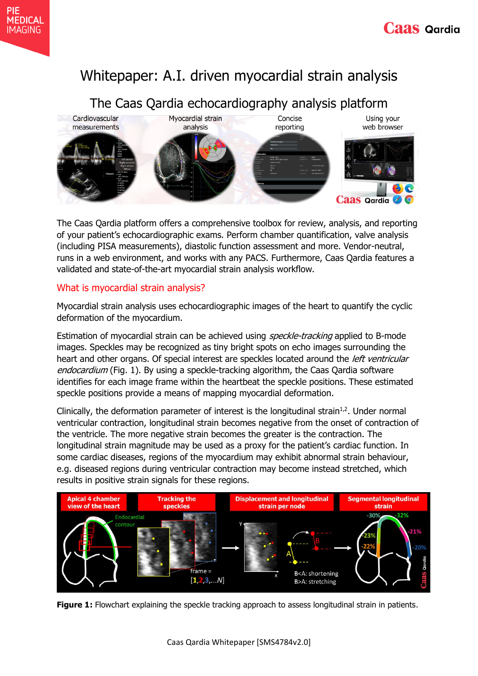# Whitepaper: A.I. driven myocardial strain analysis

## The Caas Qardia echocardiography analysis platform



The Caas Qardia platform offers a comprehensive toolbox for review, analysis, and reporting of your patient's echocardiographic exams. Perform chamber quantification, valve analysis (including PISA measurements), diastolic function assessment and more. Vendor-neutral, runs in a web environment, and works with any PACS. Furthermore, Caas Qardia features a validated and state-of-the-art myocardial strain analysis workflow.

### What is myocardial strain analysis?

Myocardial strain analysis uses echocardiographic images of the heart to quantify the cyclic deformation of the myocardium.

Estimation of myocardial strain can be achieved using *speckle-tracking* applied to B-mode images. Speckles may be recognized as tiny bright spots on echo images surrounding the heart and other organs. Of special interest are speckles located around the *left ventricular* endocardium (Fig. 1). By using a speckle-tracking algorithm, the Caas Qardia software identifies for each image frame within the heartbeat the speckle positions. These estimated speckle positions provide a means of mapping myocardial deformation.

Clinically, the deformation parameter of interest is the longitudinal strain<sup>1,2</sup>. Under normal ventricular contraction, longitudinal strain becomes negative from the onset of contraction of the ventricle. The more negative strain becomes the greater is the contraction. The longitudinal strain magnitude may be used as a proxy for the patient's cardiac function. In some cardiac diseases, regions of the myocardium may exhibit abnormal strain behaviour, e.g. diseased regions during ventricular contraction may become instead stretched, which results in positive strain signals for these regions.



**Figure 1:** Flowchart explaining the speckle tracking approach to assess longitudinal strain in patients.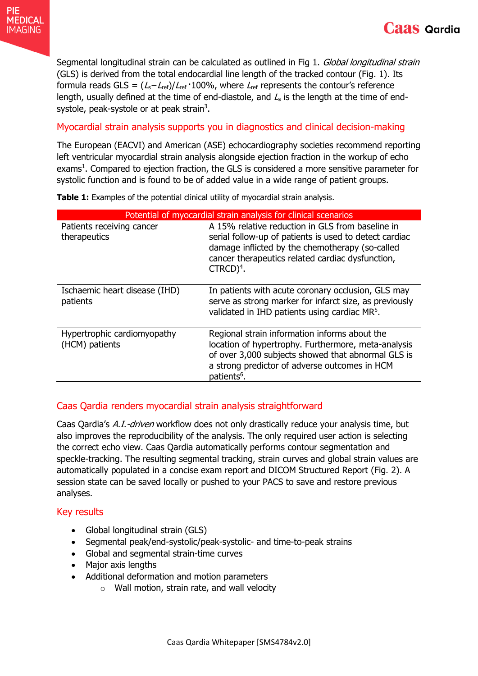Segmental longitudinal strain can be calculated as outlined in Fig 1. Global longitudinal strain (GLS) is derived from the total endocardial line length of the tracked contour (Fig. 1). Its formula reads GLS =  $(L_s - L_{ref})/L_{ref} \cdot 100\%$ , where  $L_{ref}$  represents the contour's reference length, usually defined at the time of end-diastole, and  $L<sub>s</sub>$  is the length at the time of endsystole, peak-systole or at peak strain<sup>3</sup>.

### Myocardial strain analysis supports you in diagnostics and clinical decision-making

The European (EACVI) and American (ASE) echocardiography societies recommend reporting left ventricular myocardial strain analysis alongside ejection fraction in the workup of echo exams<sup>1</sup>. Compared to ejection fraction, the GLS is considered a more sensitive parameter for systolic function and is found to be of added value in a wide range of patient groups.

**Table 1:** Examples of the potential clinical utility of myocardial strain analysis.

| Potential of myocardial strain analysis for clinical scenarios |                                                                                                                                                                                                                                             |
|----------------------------------------------------------------|---------------------------------------------------------------------------------------------------------------------------------------------------------------------------------------------------------------------------------------------|
| Patients receiving cancer<br>therapeutics                      | A 15% relative reduction in GLS from baseline in<br>serial follow-up of patients is used to detect cardiac<br>damage inflicted by the chemotherapy (so-called<br>cancer therapeutics related cardiac dysfunction,<br>$CTRCD$ <sup>4</sup> . |
| Ischaemic heart disease (IHD)<br>patients                      | In patients with acute coronary occlusion, GLS may<br>serve as strong marker for infarct size, as previously<br>validated in IHD patients using cardiac MR <sup>5</sup> .                                                                   |
| Hypertrophic cardiomyopathy<br>(HCM) patients                  | Regional strain information informs about the<br>location of hypertrophy. Furthermore, meta-analysis<br>of over 3,000 subjects showed that abnormal GLS is<br>a strong predictor of adverse outcomes in HCM<br>patients <sup>6</sup> .      |

### Caas Qardia renders myocardial strain analysis straightforward

Caas Qardia's A.I.-driven workflow does not only drastically reduce your analysis time, but also improves the reproducibility of the analysis. The only required user action is selecting the correct echo view. Caas Qardia automatically performs contour segmentation and speckle-tracking. The resulting segmental tracking, strain curves and global strain values are automatically populated in a concise exam report and DICOM Structured Report (Fig. 2). A session state can be saved locally or pushed to your PACS to save and restore previous analyses.

### Key results

- Global longitudinal strain (GLS)
- Segmental peak/end-systolic/peak-systolic- and time-to-peak strains
- Global and segmental strain-time curves
- Major axis lengths
- Additional deformation and motion parameters
	- $\circ$  Wall motion, strain rate, and wall velocity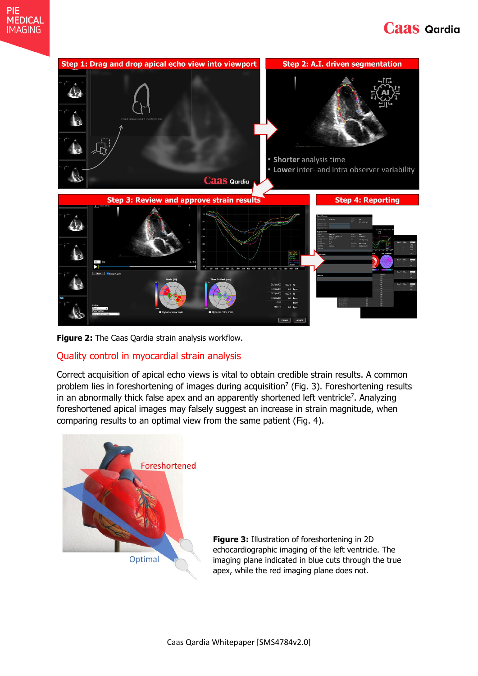## **Caas Qardia**



**Figure 2:** The Caas Qardia strain analysis workflow.

### Quality control in myocardial strain analysis

Correct acquisition of apical echo views is vital to obtain credible strain results. A common problem lies in foreshortening of images during acquisition<sup>7</sup> (Fig. 3). Foreshortening results in an abnormally thick false apex and an apparently shortened left ventricle<sup>7</sup>. Analyzing foreshortened apical images may falsely suggest an increase in strain magnitude, when comparing results to an optimal view from the same patient (Fig. 4).



**Figure 3:** Illustration of foreshortening in 2D echocardiographic imaging of the left ventricle. The imaging plane indicated in blue cuts through the true apex, while the red imaging plane does not.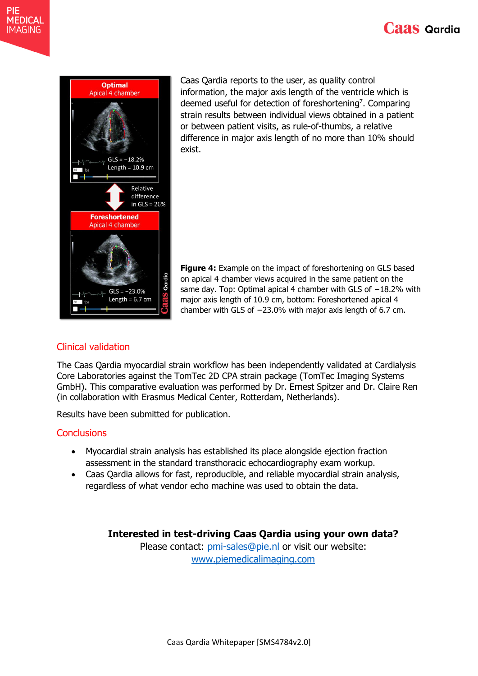



PIE **MEDICAL** 

**IMAGING** 

Caas Qardia reports to the user, as quality control information, the major axis length of the ventricle which is deemed useful for detection of foreshortening<sup>7</sup>. Comparing strain results between individual views obtained in a patient or between patient visits, as rule-of-thumbs, a relative difference in major axis length of no more than 10% should exist.

**Figure 4:** Example on the impact of foreshortening on GLS based on apical 4 chamber views acquired in the same patient on the same day. Top: Optimal apical 4 chamber with GLS of -18.2% with major axis length of 10.9 cm, bottom: Foreshortened apical 4 chamber with GLS of −23.0% with major axis length of 6.7 cm.

### Clinical validation

The Caas Qardia myocardial strain workflow has been independently validated at Cardialysis Core Laboratories against the TomTec 2D CPA strain package (TomTec Imaging Systems GmbH). This comparative evaluation was performed by Dr. Ernest Spitzer and Dr. Claire Ren (in collaboration with Erasmus Medical Center, Rotterdam, Netherlands).

Results have been submitted for publication.

#### **Conclusions**

- Myocardial strain analysis has established its place alongside ejection fraction assessment in the standard transthoracic echocardiography exam workup.
- Caas Qardia allows for fast, reproducible, and reliable myocardial strain analysis, regardless of what vendor echo machine was used to obtain the data.

**Interested in test-driving Caas Qardia using your own data?**

Please contact: [pmi-sales@pie.nl](mailto:pmi-sales@pie.nl) or visit our website: <www.piemedicalimaging.com>